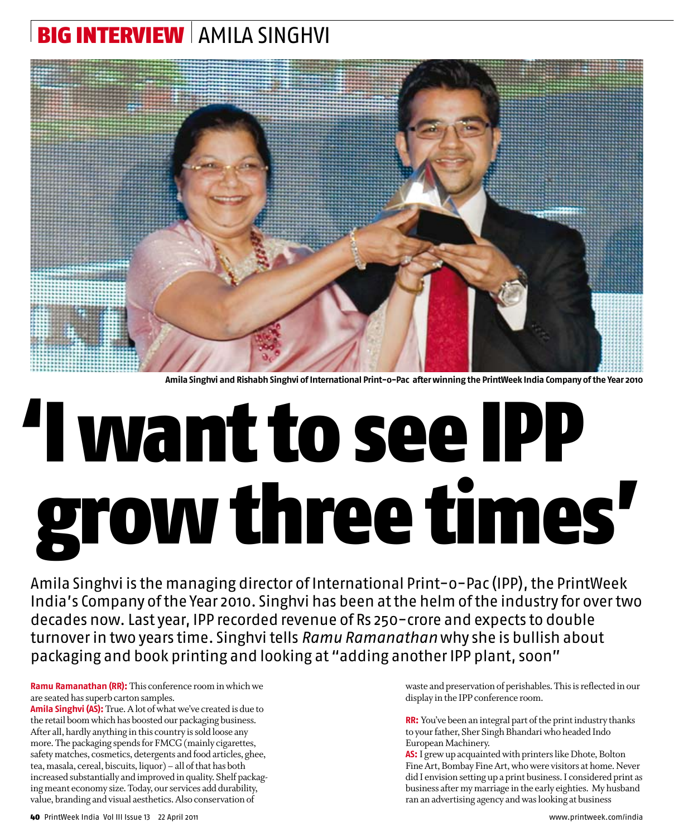## Big interview  $\mid$  amila Singhvi



**Amila Singhvi and Rishabh Singhvi of International Print-o-Pac after winning the PrintWeek India Company of the Year 2010**

## 'I want to see IPP grow three times'

Amila Singhvi is the managing director of International Print-o-Pac (IPP), the PrintWeek India's Company of the Year 2010. Singhvi has been at the helm of the industry for over two decades now. Last year, IPP recorded revenue of Rs 250-crore and expects to double turnover in two years time. Singhvi tells *Ramu Ramanathan* why she is bullish about packaging and book printing and looking at "adding another IPP plant, soon"

**Ramu Ramanathan (RR):** This conference room in which we are seated has superb carton samples.

**Amila Singhvi (AS):** True. A lot of what we've created is due to the retail boom which has boosted our packaging business. After all, hardly anything in this country is sold loose any more. The packaging spends for FMCG (mainly cigarettes, safety matches, cosmetics, detergents and food articles, ghee, tea, masala, cereal, biscuits, liquor) – all of that has both increased substantially and improved in quality. Shelf packaging meant economy size. Today, our services add durability, value, branding and visual aesthetics. Also conservation of

waste and preservation of perishables. This is reflected in our display in the IPP conference room.

**RR:** You've been an integral part of the print industry thanks to your father, Sher Singh Bhandari who headed Indo European Machinery.

**AS:** I grew up acquainted with printers like Dhote, Bolton Fine Art, Bombay Fine Art, who were visitors at home. Never did I envision setting up a print business. I considered print as business after my marriage in the early eighties. My husband ran an advertising agency and was looking at business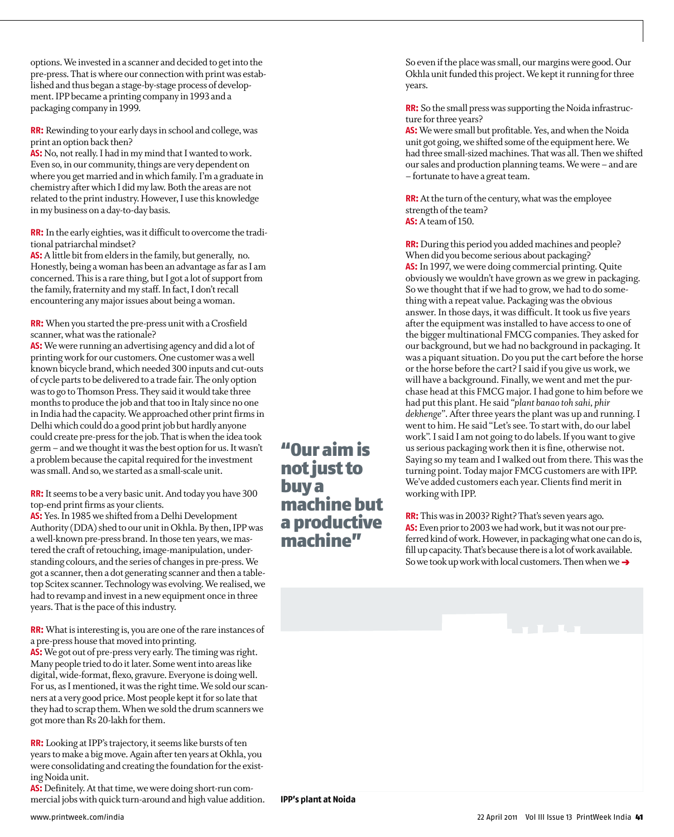options. We invested in a scanner and decided to get into the pre-press. That is where our connection with print was established and thus began a stage-by-stage process of development. IPP became a printing company in 1993 and a packaging company in 1999.

**RR:** Rewinding to your early days in school and college, was print an option back then?

**AS:** No, not really. I had in my mind that I wanted to work. Even so, in our community, things are very dependent on where you get married and in which family. I'm a graduate in chemistry after which I did my law. Both the areas are not related to the print industry. However, I use this knowledge in my business on a day-to-day basis.

**RR:** In the early eighties, was it difficult to overcome the traditional patriarchal mindset?

**AS:** A little bit from elders in the family, but generally, no. Honestly, being a woman has been an advantage as far as I am concerned. This is a rare thing, but I got a lot of support from the family, fraternity and my staff. In fact, I don't recall encountering any major issues about being a woman.

**RR:** When you started the pre-press unit with a Crosfield scanner, what was the rationale?

**AS:** We were running an advertising agency and did a lot of printing work for our customers. One customer was a well known bicycle brand, which needed 300 inputs and cut-outs of cycle parts to be delivered to a trade fair. The only option was to go to Thomson Press. They said it would take three months to produce the job and that too in Italy since no one in India had the capacity. We approached other print firms in Delhi which could do a good print job but hardly anyone could create pre-press for the job. That is when the idea took germ – and we thought it was the best option for us. It wasn't a problem because the capital required for the investment was small. And so, we started as a small-scale unit.

**RR:** It seems to be a very basic unit. And today you have 300 top-end print firms as your clients.

**AS:** Yes. In 1985 we shifted from a Delhi Development Authority (DDA) shed to our unit in Okhla. By then, IPP was a well-known pre-press brand. In those ten years, we mastered the craft of retouching, image-manipulation, understanding colours, and the series of changes in pre-press. We got a scanner, then a dot generating scanner and then a tabletop Scitex scanner. Technology was evolving. We realised, we had to revamp and invest in a new equipment once in three years. That is the pace of this industry.

**RR:** What is interesting is, you are one of the rare instances of a pre-press house that moved into printing.

**AS:** We got out of pre-press very early. The timing was right. Many people tried to do it later. Some went into areas like digital, wide-format, flexo, gravure. Everyone is doing well. For us, as I mentioned, it was the right time. We sold our scanners at a very good price. Most people kept it for so late that they had to scrap them. When we sold the drum scanners we got more than Rs 20-lakh for them.

**RR:** Looking at IPP's trajectory, it seems like bursts of ten years to make a big move. Again after ten years at Okhla, you were consolidating and creating the foundation for the existing Noida unit.

**AS:** Definitely. At that time, we were doing short-run commercial jobs with quick turn-around and high value addition. "Our aim is not just to buy a machine but a productive machine"

So even if the place was small, our margins were good. Our Okhla unit funded this project. We kept it running for three years.

**RR:** So the small press was supporting the Noida infrastructure for three years?

**AS:** We were small but profitable. Yes, and when the Noida unit got going, we shifted some of the equipment here. We had three small-sized machines. That was all. Then we shifted our sales and production planning teams. We were – and are – fortunate to have a great team.

**RR:** At the turn of the century, what was the employee strength of the team? **AS:** A team of 150.

**RR:** During this period you added machines and people? When did you become serious about packaging? **AS:** In 1997, we were doing commercial printing. Quite obviously we wouldn't have grown as we grew in packaging. So we thought that if we had to grow, we had to do something with a repeat value. Packaging was the obvious answer. In those days, it was difficult. It took us five years after the equipment was installed to have access to one of the bigger multinational FMCG companies. They asked for our background, but we had no background in packaging. It was a piquant situation. Do you put the cart before the horse or the horse before the cart? I said if you give us work, we will have a background. Finally, we went and met the purchase head at this FMCG major. I had gone to him before we had put this plant. He said *"plant banao toh sahi, phir dekhenge"*. After three years the plant was up and running. I went to him. He said "Let's see. To start with, do our label work". I said I am not going to do labels. If you want to give us serious packaging work then it is fine, otherwise not. Saying so my team and I walked out from there. This was the turning point. Today major FMCG customers are with IPP. We've added customers each year. Clients find merit in working with IPP.

**RR:** This was in 2003? Right? That's seven years ago. **AS:** Even prior to 2003 we had work, but it was not our preferred kind of work. However, in packaging what one can do is, fill up capacity. That's because there is a lot of work available. So we took up work with local customers. Then when we **t**